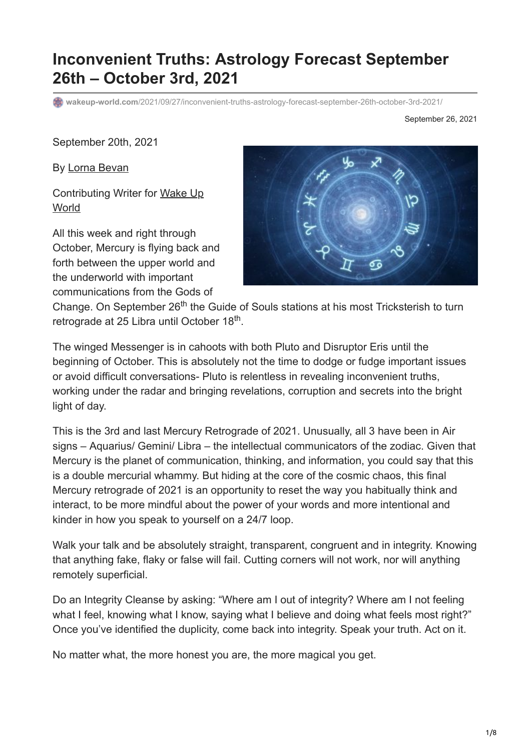# **Inconvenient Truths: Astrology Forecast September 26th – October 3rd, 2021**

**wakeup-world.com**[/2021/09/27/inconvenient-truths-astrology-forecast-september-26th-october-3rd-2021/](https://wakeup-world.com/2021/09/27/inconvenient-truths-astrology-forecast-september-26th-october-3rd-2021/)

September 26, 2021

September 20th, 2021

By [Lorna Bevan](https://www.hareinthemoonastrology.co.uk/)

[Contributing Writer for Wake Up](https://wakeup-world.com/2021/09/27/inconvenient-truths-astrology-forecast-september-26th-october-3rd-2021/) **World** 

All this week and right through October, Mercury is flying back and forth between the upper world and the underworld with important communications from the Gods of



Change. On September 26<sup>th</sup> the Guide of Souls stations at his most Tricksterish to turn retrograde at 25 Libra until October 18<sup>th</sup>.

The winged Messenger is in cahoots with both Pluto and Disruptor Eris until the beginning of October. This is absolutely not the time to dodge or fudge important issues or avoid difficult conversations- Pluto is relentless in revealing inconvenient truths, working under the radar and bringing revelations, corruption and secrets into the bright light of day.

This is the 3rd and last Mercury Retrograde of 2021. Unusually, all 3 have been in Air signs – Aquarius/ Gemini/ Libra – the intellectual communicators of the zodiac. Given that Mercury is the planet of communication, thinking, and information, you could say that this is a double mercurial whammy. But hiding at the core of the cosmic chaos, this final Mercury retrograde of 2021 is an opportunity to reset the way you habitually think and interact, to be more mindful about the power of your words and more intentional and kinder in how you speak to yourself on a 24/7 loop.

Walk your talk and be absolutely straight, transparent, congruent and in integrity. Knowing that anything fake, flaky or false will fail. Cutting corners will not work, nor will anything remotely superficial.

Do an Integrity Cleanse by asking: "Where am I out of integrity? Where am I not feeling what I feel, knowing what I know, saying what I believe and doing what feels most right?" Once you've identified the duplicity, come back into integrity. Speak your truth. Act on it.

No matter what, the more honest you are, the more magical you get.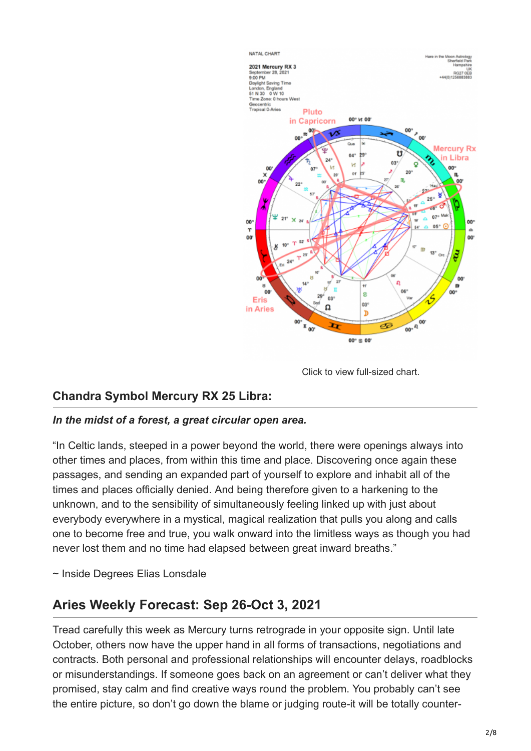

Click to view full-sized chart.

#### **Chandra Symbol Mercury RX 25 Libra:**

#### *In the midst of a forest, a great circular open area.*

"In Celtic lands, steeped in a power beyond the world, there were openings always into other times and places, from within this time and place. Discovering once again these passages, and sending an expanded part of yourself to explore and inhabit all of the times and places officially denied. And being therefore given to a harkening to the unknown, and to the sensibility of simultaneously feeling linked up with just about everybody everywhere in a mystical, magical realization that pulls you along and calls one to become free and true, you walk onward into the limitless ways as though you had never lost them and no time had elapsed between great inward breaths."

~ Inside Degrees Elias Lonsdale

### **Aries Weekly Forecast: Sep 26-Oct 3, 2021**

Tread carefully this week as Mercury turns retrograde in your opposite sign. Until late October, others now have the upper hand in all forms of transactions, negotiations and contracts. Both personal and professional relationships will encounter delays, roadblocks or misunderstandings. If someone goes back on an agreement or can't deliver what they promised, stay calm and find creative ways round the problem. You probably can't see the entire picture, so don't go down the blame or judging route-it will be totally counter-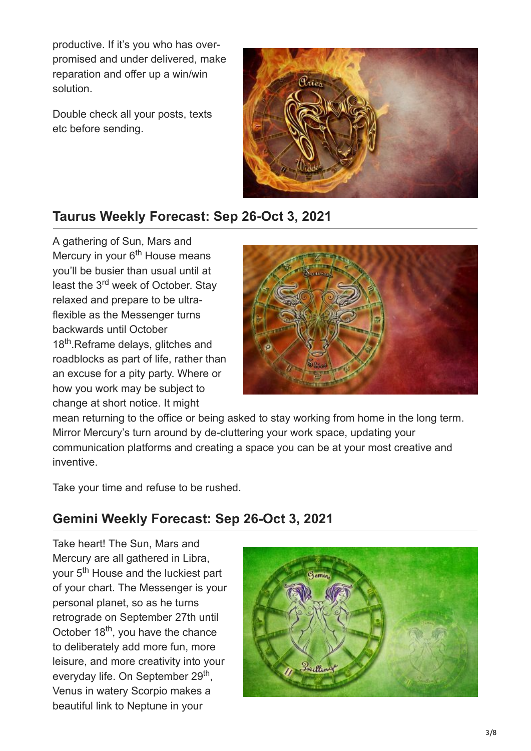productive. If it's you who has overpromised and under delivered, make reparation and offer up a win/win solution.

Double check all your posts, texts etc before sending.



## **Taurus Weekly Forecast: Sep 26-Oct 3, 2021**

A gathering of Sun, Mars and Mercury in your 6<sup>th</sup> House means you'll be busier than usual until at least the 3<sup>rd</sup> week of October. Stay relaxed and prepare to be ultraflexible as the Messenger turns backwards until October 18<sup>th</sup>.Reframe delays, glitches and roadblocks as part of life, rather than an excuse for a pity party. Where or how you work may be subject to change at short notice. It might



mean returning to the office or being asked to stay working from home in the long term. Mirror Mercury's turn around by de-cluttering your work space, updating your communication platforms and creating a space you can be at your most creative and inventive.

Take your time and refuse to be rushed.

## **Gemini Weekly Forecast: Sep 26-Oct 3, 2021**

Take heart! The Sun, Mars and Mercury are all gathered in Libra, your 5<sup>th</sup> House and the luckiest part of your chart. The Messenger is your personal planet, so as he turns retrograde on September 27th until October 18<sup>th</sup>, you have the chance to deliberately add more fun, more leisure, and more creativity into your everyday life. On September 29<sup>th</sup>, Venus in watery Scorpio makes a beautiful link to Neptune in your

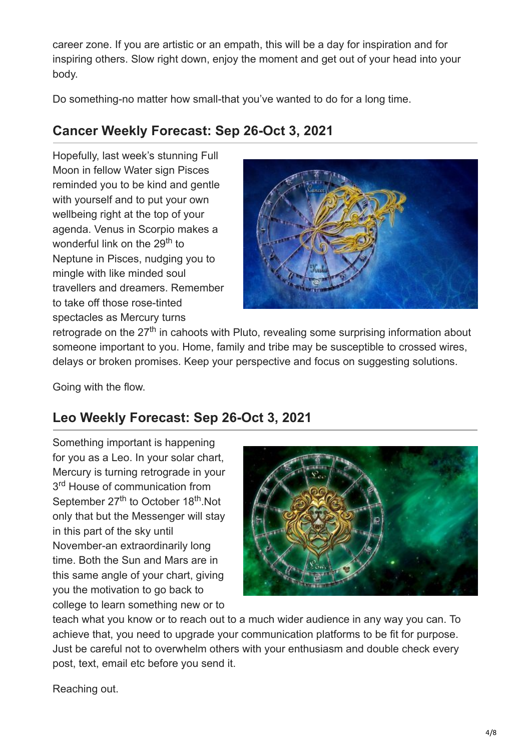career zone. If you are artistic or an empath, this will be a day for inspiration and for inspiring others. Slow right down, enjoy the moment and get out of your head into your body.

Do something-no matter how small-that you've wanted to do for a long time.

## **Cancer Weekly Forecast: Sep 26-Oct 3, 2021**

Hopefully, last week's stunning Full Moon in fellow Water sign Pisces reminded you to be kind and gentle with yourself and to put your own wellbeing right at the top of your agenda. Venus in Scorpio makes a wonderful link on the 29<sup>th</sup> to Neptune in Pisces, nudging you to mingle with like minded soul travellers and dreamers. Remember to take off those rose-tinted spectacles as Mercury turns



retrograde on the 27<sup>th</sup> in cahoots with Pluto, revealing some surprising information about someone important to you. Home, family and tribe may be susceptible to crossed wires, delays or broken promises. Keep your perspective and focus on suggesting solutions.

Going with the flow.

## **Leo Weekly Forecast: Sep 26-Oct 3, 2021**

Something important is happening for you as a Leo. In your solar chart, Mercury is turning retrograde in your 3<sup>rd</sup> House of communication from September 27<sup>th</sup> to October 18<sup>th</sup>.Not only that but the Messenger will stay in this part of the sky until November-an extraordinarily long time. Both the Sun and Mars are in this same angle of your chart, giving you the motivation to go back to college to learn something new or to



teach what you know or to reach out to a much wider audience in any way you can. To achieve that, you need to upgrade your communication platforms to be fit for purpose. Just be careful not to overwhelm others with your enthusiasm and double check every post, text, email etc before you send it.

Reaching out.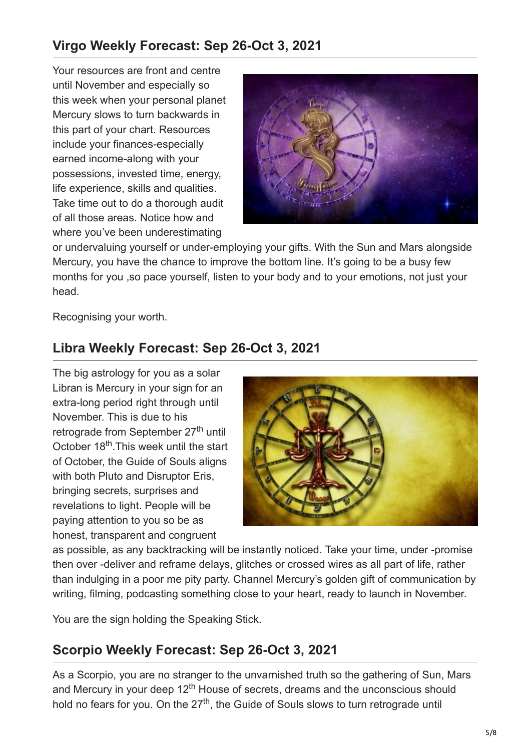## **Virgo Weekly Forecast: Sep 26-Oct 3, 2021**

Your resources are front and centre until November and especially so this week when your personal planet Mercury slows to turn backwards in this part of your chart. Resources include your finances-especially earned income-along with your possessions, invested time, energy, life experience, skills and qualities. Take time out to do a thorough audit of all those areas. Notice how and where you've been underestimating



or undervaluing yourself or under-employing your gifts. With the Sun and Mars alongside Mercury, you have the chance to improve the bottom line. It's going to be a busy few months for you ,so pace yourself, listen to your body and to your emotions, not just your head.

Recognising your worth.

## **Libra Weekly Forecast: Sep 26-Oct 3, 2021**

The big astrology for you as a solar Libran is Mercury in your sign for an extra-long period right through until November. This is due to his retrograde from September 27<sup>th</sup> until October 18<sup>th</sup>. This week until the start of October, the Guide of Souls aligns with both Pluto and Disruptor Eris, bringing secrets, surprises and revelations to light. People will be paying attention to you so be as honest, transparent and congruent



as possible, as any backtracking will be instantly noticed. Take your time, under -promise then over -deliver and reframe delays, glitches or crossed wires as all part of life, rather than indulging in a poor me pity party. Channel Mercury's golden gift of communication by writing, filming, podcasting something close to your heart, ready to launch in November.

You are the sign holding the Speaking Stick.

## **Scorpio Weekly Forecast: Sep 26-Oct 3, 2021**

As a Scorpio, you are no stranger to the unvarnished truth so the gathering of Sun, Mars and Mercury in your deep 12<sup>th</sup> House of secrets, dreams and the unconscious should hold no fears for you. On the  $27<sup>th</sup>$ , the Guide of Souls slows to turn retrograde until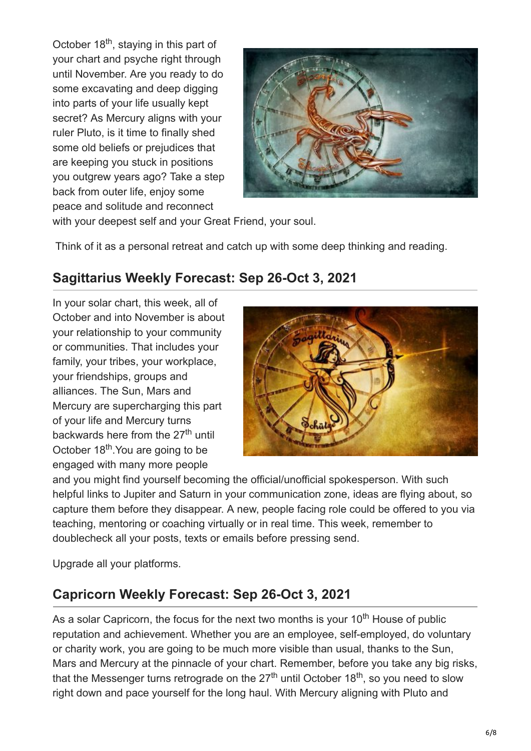October 18<sup>th</sup>, staying in this part of your chart and psyche right through until November. Are you ready to do some excavating and deep digging into parts of your life usually kept secret? As Mercury aligns with your ruler Pluto, is it time to finally shed some old beliefs or prejudices that are keeping you stuck in positions you outgrew years ago? Take a step back from outer life, enjoy some peace and solitude and reconnect



with your deepest self and your Great Friend, your soul.

Think of it as a personal retreat and catch up with some deep thinking and reading.

## **Sagittarius Weekly Forecast: Sep 26-Oct 3, 2021**

In your solar chart, this week, all of October and into November is about your relationship to your community or communities. That includes your family, your tribes, your workplace, your friendships, groups and alliances. The Sun, Mars and Mercury are supercharging this part of your life and Mercury turns backwards here from the 27<sup>th</sup> until October 18<sup>th</sup>. You are going to be engaged with many more people



and you might find yourself becoming the official/unofficial spokesperson. With such helpful links to Jupiter and Saturn in your communication zone, ideas are flying about, so capture them before they disappear. A new, people facing role could be offered to you via teaching, mentoring or coaching virtually or in real time. This week, remember to doublecheck all your posts, texts or emails before pressing send.

Upgrade all your platforms.

## **Capricorn Weekly Forecast: Sep 26-Oct 3, 2021**

As a solar Capricorn, the focus for the next two months is your 10<sup>th</sup> House of public reputation and achievement. Whether you are an employee, self-employed, do voluntary or charity work, you are going to be much more visible than usual, thanks to the Sun, Mars and Mercury at the pinnacle of your chart. Remember, before you take any big risks, that the Messenger turns retrograde on the 27<sup>th</sup> until October 18<sup>th</sup>, so you need to slow right down and pace yourself for the long haul. With Mercury aligning with Pluto and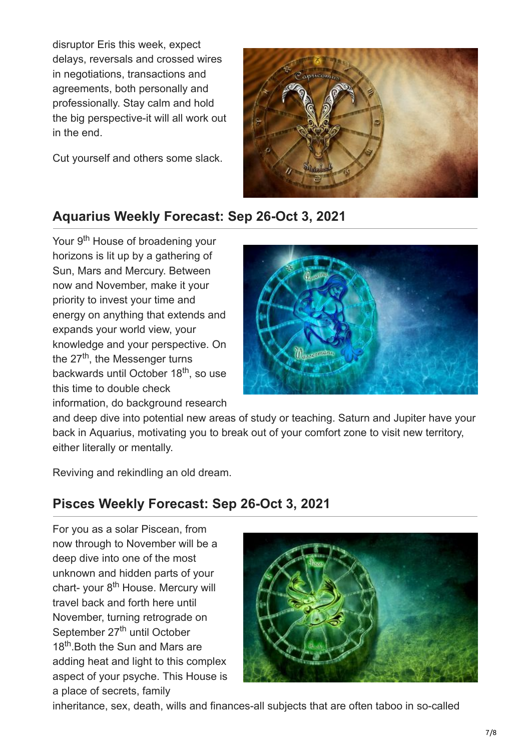disruptor Eris this week, expect delays, reversals and crossed wires in negotiations, transactions and agreements, both personally and professionally. Stay calm and hold the big perspective-it will all work out in the end.

Cut yourself and others some slack.



### **Aquarius Weekly Forecast: Sep 26-Oct 3, 2021**

Your 9<sup>th</sup> House of broadening your horizons is lit up by a gathering of Sun, Mars and Mercury. Between now and November, make it your priority to invest your time and energy on anything that extends and expands your world view, your knowledge and your perspective. On the 27<sup>th</sup>, the Messenger turns backwards until October 18<sup>th</sup>, so use this time to double check information, do background research



and deep dive into potential new areas of study or teaching. Saturn and Jupiter have your back in Aquarius, motivating you to break out of your comfort zone to visit new territory, either literally or mentally.

Reviving and rekindling an old dream.

### **Pisces Weekly Forecast: Sep 26-Oct 3, 2021**

For you as a solar Piscean, from now through to November will be a deep dive into one of the most unknown and hidden parts of your chart- your 8<sup>th</sup> House. Mercury will travel back and forth here until November, turning retrograde on September 27<sup>th</sup> until October 18<sup>th</sup>. Both the Sun and Mars are adding heat and light to this complex aspect of your psyche. This House is a place of secrets, family



inheritance, sex, death, wills and finances-all subjects that are often taboo in so-called